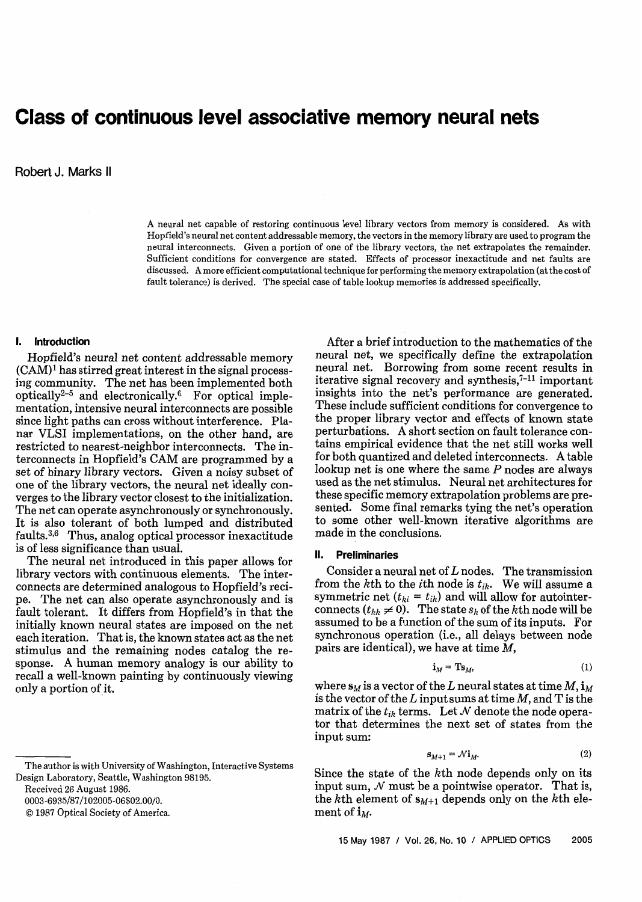# **Class of continuous level associative memory neural nets**

**Robert** J. Marks II

A neural net capable of restoring continuous level library vectors from memory is considered. As with Hopfield's neural net content addressable memory, the vectors in the memory library are used to program the neural interconnects. Given a portion of one of the library vectors, the net extrapolates the remainder. Sufficient conditions for convergence are stated. Effects of processor inexactitude and net faults are discussed. A more efficient computational technique for performing the memory extrapolation (at the cost of fault tolerance) is derived. The special case of table lookup memories is addressed specifically.

## **I. Introduction**

Hopfield's neural net content addressable memory  $(CAM)^1$  has stirred great interest in the signal processing community. The net has been implemented both optically<sup>2-5</sup> and electronically.<sup>6</sup> For optical implementation, intensive neural interconnects are possible since light paths can cross without interference. Planar VLSI implementations, on the other hand, are restricted to nearest-neighbor interconnects. The interconnects in Hopfield's CAM are programmed by a set of binary library vectors. Given a noisy subset of one of the library vectors, the neural net ideally converges to the library vector closest to the initialization. The net can operate asynchronously or synchronously. It is also tolerant of both lumped and distributed faults. $3,6$  Thus, analog optical processor inexactitude is of less significance than usual.

The neural net introduced in this paper allows for library vectors with continuous elements. The interconnects are determined analogous to Hopfield's recipe. The net can also operate asynchronously and is fault tolerant. It differs from Hopfield's in that the initially known neural states are imposed on the net each iteration. That is, the known states act as the net stimulus and the remaining nodes catalog the response. A human memory analogy is our ability to recall a well-known painting by continuously viewing only a portion of it.

After a brief introduction to the mathematics of the neural net, we specifically define the extrapolation neural net. Borrowing from some recent results in iterative signal recovery and synthesis, $7-11$  important insights into the net's performance are generated. These include sufficient conditions for convergence to the proper library vector and effects of known state perturbations. A short section on fault tolerance contains empirical evidence that the net still works well for both quantized and deleted interconnects. A table lookup net is one where the same P nodes are always used as the net stimulus. Neural net architectures for these specific memory extrapolation problems are presented. Some final remarks tying the net's operation to some other well-known iterative algorithms are made in the conclusions.

## **11. Preliminaries**

Consider a neural net of  $L$  nodes. The transmission from the  $k$ th to the *i*th node is  $t_{ik}$ . We will assume a symmetric net  $(t_{ki} = t_{ik})$  and will allow for autointerconnects  $(t_{kk} \neq 0)$ . The state  $s_k$  of the kth node will be assumed to be a function of the sum of its inputs. For synchronous operation (i.e., all delays between node pairs are identical), we have at time M,

$$
\mathbf{i}_M = \mathbf{T} \mathbf{s}_M,\tag{1}
$$

where  $\mathbf{s}_M$  is a vector of the L neural states at time  $M$ ,  $\mathbf{i}_M$ is the vector of the *L* input sums at time M, and T is the matrix of the  $t_{ik}$  terms. Let N denote the node operator that determines the next set of states from the input sum:

$$
\mathbf{s}_{M+1} = \mathcal{N}\mathbf{i}_M. \tag{2}
$$

Since the state of the kth node depends only on its input sum,  $\mathcal N$  must be a pointwise operator. That is, the kth element of  $s_{M+1}$  depends only on the kth element of  $\mathbf{i}_M$ .

The author is with University of Washington, Interactive Systems Design Laboratory, Seattle, Washington 98195.

Received 26 August 1986.

<sup>0003-6935/87/102005-06\$02.00/0.</sup> 

O 1987 Optical Society of America.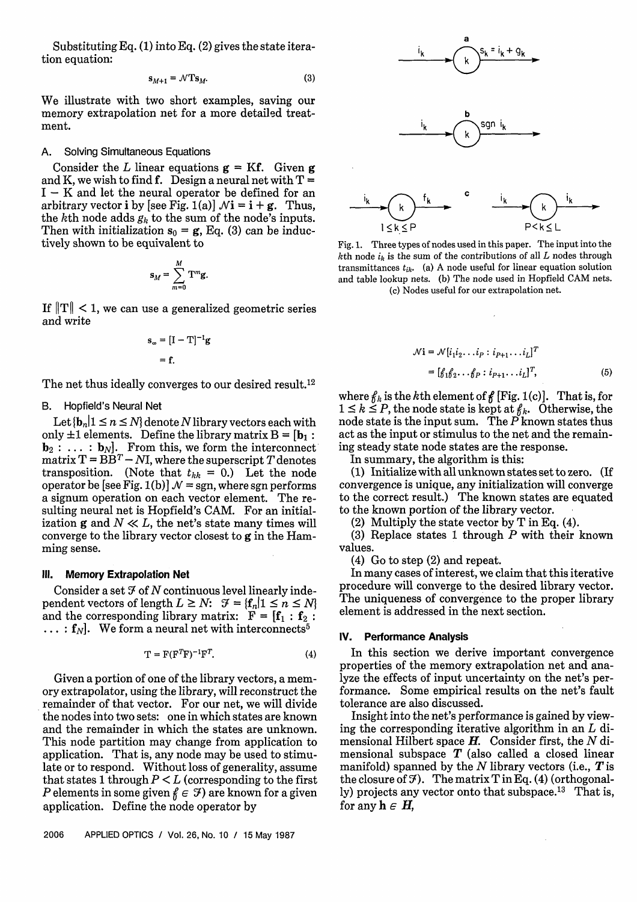Substituting Eq. (1) into Eq. (2) gives the state iteration equation:

$$
\mathbf{s}_{M+1} = \mathcal{N} \mathbf{T} \mathbf{s}_M. \tag{3}
$$

We illustrate with two short examples, saving our memory extrapolation net for a more detailgd treatment.

## A. Solving Simultaneous Equations

Consider the L linear equations  $g = Kf$ . Given g and K, we wish to find f. Design a neural net with  $T =$  $I - K$  and let the neural operator be defined for an arbitrary vector **i** by [see Fig. 1(a)]  $\mathcal{N}$ **i** = **i** + **g**. Thus, the kth node adds *gk* to the sum of the node's inputs. Then with initialization  $\mathbf{s}_0 = \mathbf{g}$ , Eq. (3) can be inductively shown to be equivalent to

$$
\mathbf{s}_M = \sum_{m=0}^M \mathbf{T}^m \mathbf{g}
$$

If  $||T|| < 1$ , we can use a generalized geometric series and write

$$
\mathbf{s}_{\infty} = [\mathbf{I} - \mathbf{T}]^{-1} \mathbf{g}
$$

$$
= \mathbf{f}.
$$

The net thus ideally converges to our desired result.<sup>12</sup>

## B. Hopfield's Neural Net

Let  $\{b_n | 1 \le n \le N\}$  denote N library vectors each with only  $\pm 1$  elements. Define the library matrix  $B = [b_1 : b_2]$  $\mathbf{b}_2 : \ldots : \mathbf{b}_N$ . From this, we form the interconnect matrix  $T = \overrightarrow{BB}^T - NI$ , where the superscript T denotes transposition. (Note that  $t_{kk} = 0$ .) Let the node operator be [see Fig. 1(b)]  $\mathcal{N}$  = sgn, where sgn performs a signum operation on each vector element. The resulting neural net is Hopfield's CAM. For an initialization g and  $N \ll L$ , the net's state many times will converge to the library vector closest to g in the Hamming sense.

## **Ill. Memory Extrapolation Net**

Consider a set  $\mathcal I$  of  $N$  continuous level linearly independent vectors of length  $L \geq N$ :  $\mathcal{F} = \{f_n | 1 \leq n \leq N\}$ and the corresponding library matrix:  $F = [f_1 : f_2 :$  $\ldots$ :  $f_N$ . We form a neural net with interconnects<sup>5</sup>

$$
\mathbf{T} = \mathbf{F}(\mathbf{F}^T \mathbf{F})^{-1} \mathbf{F}^T. \tag{4}
$$

Given a portion of one of the library vectors, a memory extrapolator, using the library, will reconstruct the remainder of that vector. For our net, we will divide the nodes into two sets: one in which states are known and the remainder in which the states are unknown. This node partition may change from application to application. That is, any node may be used to stimulate or to respond. Without loss of generality, assume that states 1 through  $P \leq L$  (corresponding to the first P elements in some given  $f \in \mathcal{F}$  are known for a given application. Define the node operator by









Fig. 1. Three types of nodes used in this paper. The input into the  $k$ <sup>th</sup> node  $i_k$  is the sum of the contributions of all  $L$  nodes through transmittances  $t_{ik}$ . (a) A node useful for linear equation solution and table lookup nets. (b) The node used in Hopfield CAM nets. (c) Nodes useful for our extrapolation net.

$$
\mathcal{N} \mathbf{i} = \mathcal{N}[i_1 i_2 \dots i_P : i_{P+1} \dots i_L]^T
$$
  
= 
$$
[g_1 g_2 \dots g_P : i_{P+1} \dots i_L]^T,
$$
 (5)

where  $f_k$  is the kth element of  $f$  [Fig. 1(c)]. That is, for  $1 \leq k \leq P$ , the node state is kept at  $f_k$ . Otherwise, the node state is the input sum. The  $P$  known states thus act as the input or stimulus to the net and the remaining steady state node states are the response.

In summary, the algorithm is this:

(1) Initialize with all unknown states set to zero. (If convergence is unique, any initialization will converge to the correct result.) The known states are equated to the known portion of the library vector. .

(2) Multiply the state vector by T in **Eq.** (4).

**(3)** Replace states 1 through *P* with their known values.

(4) Go to step (2) and repeat.

In many cases of interest, we claim that this iterative procedure will converge to the desired library vector. The uniqueness of convergence to the proper library element is addressed in the next section.

#### **IV. Performance Analysis**

In this section we derive important convergence properties of the memory extrapolation net and analyze the effects of input uncertainty on the net's performance. Some empirical results on the net's fault tolerance are also discussed.

Insight into the net's performance is gained by viewing the corresponding iterative algorithm in an  $L$  dimensional Hilbert space  $H$ . Consider first, the  $N$  dimensional subspace  $T$  (also called a closed linear manifold) spanned by the  $N$  library vectors (i.e.,  $T$  is the closure of  $\mathfrak{F}$ ). The matrix T in Eq. (4) (orthogonally) projects any vector onto that subspace.<sup>13</sup> That is, for any  $h \in H$ ,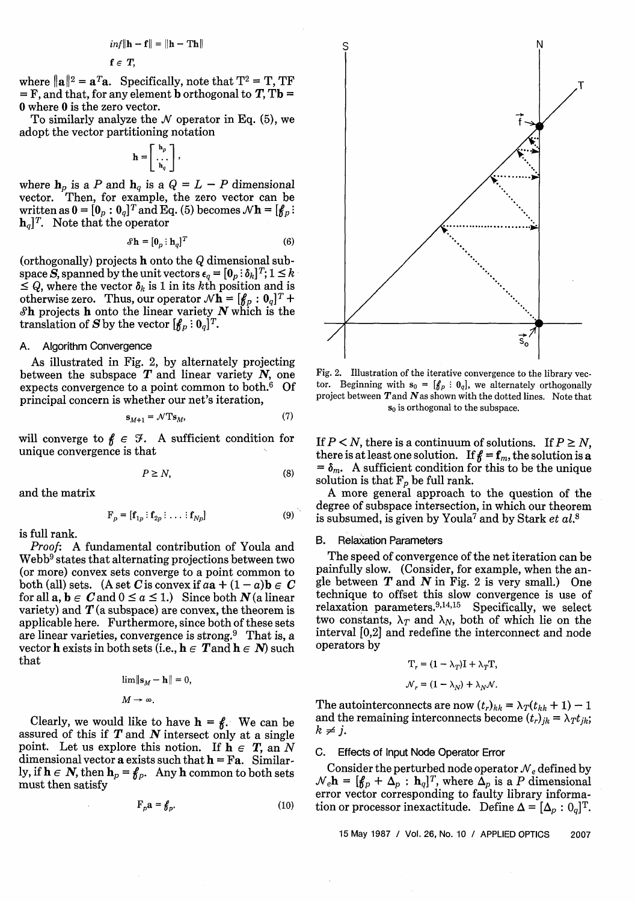$$
inf \|\mathbf{h} - \mathbf{f}\| = \|\mathbf{h} - \mathbf{Th}\|
$$

$$
f\in T,
$$

where  $\|\mathbf{a}\|^2 = \mathbf{a}^T\mathbf{a}$ . Specifically, note that  $T^2 = T$ , TF  $=$  F, and that, for any element **b** orthogonal to **T**, T**b** = 0 where 0 is the zero vector.

To similarly analyze the  $N$  operator in Eq.  $(5)$ , we adopt the vector partitioning notation

$$
\mathbf{h} = \left[ \begin{array}{c} \mathbf{h}_p \\ \dots \\ \mathbf{h}_q \end{array} \right],
$$

where  $h_p$  is a P and  $h_q$  is a  $Q = L - P$  dimensional vector. Then, for example, the zero vector can be written as  $\mathbf{0} = [\mathbf{0}_p : \mathbf{0}_q]^T$  and Eq. (5) becomes  $\mathcal{N}\mathbf{h} = [\mathbf{f}_p :$  $\mathbf{h}_q$ <sup>T</sup>. Note that the operator

$$
\mathbf{\mathcal{S}}\mathbf{h} = [\mathbf{0}_p : \mathbf{h}_q]^T
$$
 (6)

(orthogonally) projects **h** onto the Q dimensional sub- $\mathbf{s}_h = [\mathbf{0}_p : \mathbf{h}_q]^T$  (6)<br>
(orthogonally) projects **h** onto the *Q* dimensional sub-<br>
space *S*, spanned by the unit vectors  $\epsilon_q = [\mathbf{0}_p : \delta_k]^T; 1 \leq k$ <br>  $\leq Q$ , where the vector  $\delta_k$  is 1 in its *k*th position and i otherwise zero. Thus, our operator  $N h = [f_p : 0_q]^T +$ **Sh** projects **h** onto the linear variety N which is the translation of S by the vector  $[\mathbf{f}_p: \mathbf{0}_q]^T$ .

## A. Algorithm Convergence

As illustrated in Fig. 2, by alternately projecting between the subspace  $T$  and linear variety  $N$ , one expects convergence to a point common to both.6 Of principal concern is whether our net's iteration,

$$
\mathbf{s}_{M+1} = \mathcal{N} \mathbf{T} \mathbf{s}_M,\tag{7}
$$

will converge to  $f \in \mathcal{F}$ . A sufficient condition for unique convergence is that

$$
P \ge N,\tag{8}
$$

and the matrix

$$
\mathbf{F}_p = [\mathbf{f}_{1p} : \mathbf{f}_{2p} : \dots : \mathbf{f}_{Np}] \tag{9}
$$

is full rank.

Proof: A fundamental contribution of Youla and  $Webb<sup>9</sup> states that alternating projections between two$ (or more) convex sets converge to a point common to both (all) sets. (A set C is convex if  $aa + (1 - a)b \in C$ for all  $a, b \in C$  and  $0 \le a \le 1$ .) Since both  $N$  (a linear variety) and  $T(a$  subspace) are convex, the theorem is applicable here. Furthermore, since both of these sets are linear varieties, convergence is strong. $9$  That is, a vector **h** exists in both sets (i.e.,  $h \in \mathbf{T}$  and  $h \in \mathbf{N}$ ) such that

$$
\lim_{M \to \infty} \|\mathbf{s}_M - \mathbf{h}\| = 0,
$$
  

$$
M \to \infty.
$$

Clearly, we would like to have  $h = f$ . We can be assured of this if  $T$  and  $N$  intersect only at a single point. Let us explore this notion. If  $h \in T$ , an N dimensional vector a exists such that  $h = Fa$ . Similarly, if  $h \in N$ , then  $h_p = \mathcal{E}_p$ . Any h common to both sets must then satisfy

$$
\mathbf{F}_p \mathbf{a} = \mathbf{f}_p. \tag{10}
$$



Fig. 2. Illustration of the iterative convergence to the library vector. Beginning with  $s_0 = [f_p : 0_q]$ , we alternately orthogonally project between  $T$  and  $N$  as shown with the dotted lines. Note that *so* is orthogonal to the subspace.

If  $P \leq N$ , there is a continuum of solutions. If  $P \geq N$ , there is at least one solution. If  $f = f_m$ , the solution is a  $= \delta_m$ . A sufficient condition for this to be the unique solution is that  $F_p$  be full rank.

A more general approach to the question of the degree of subspace intersection, in which our theorem is subsumed, is given by Youla<sup>7</sup> and by Stark et  $al$ .<sup>8</sup>

# **B.** Relaxation Parameters

The speed of convergence of the net iteration can be painfully slow. (Consider, for example, when the angle between  $T$  and  $N$  in Fig. 2 is very small.) One technique to offset this slow convergence is use of relaxation parameters. $9,14,15$  Specifically, we select two constants,  $\lambda_T$  and  $\lambda_N$ , both of which lie on the interval [0,2] and redefine the interconnect and node operators by

$$
T_r = (1 - \lambda_T)I + \lambda_T T,
$$
  

$$
\Delta t = (1 - \lambda_r) + \lambda_r A_r
$$

 $N_r = (1 - \lambda_N) + \lambda_N N.$ <br>The autointerconnects are now  $(t_r)_{kk} = \lambda_T(t_{kk} + 1) - 1$ and the remaining interconnects become  $(t_r)_{jk} = \lambda_T t_{jk}$ ;  $k \neq j$ .

#### C. Effects of Input Node Operator Error

Consider the perturbed node operator  $N_e$  defined by  $\mathcal{N}_e \mathbf{h} = [\mathbf{f}_p + \mathbf{\Delta}_p : \mathbf{h}_q]^T$ , where  $\mathbf{\Delta}_p$  is a P dimensional error vector corresponding to faulty library information or processor inexactitude. Define  $\Delta = [\Delta_p : 0_q]^T$ .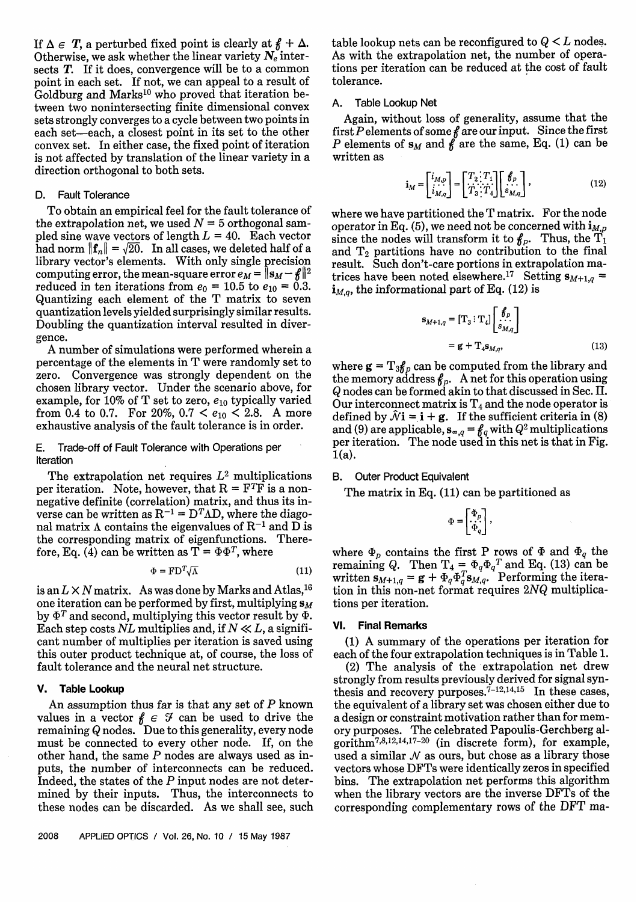If  $\Delta \in T$ , a perturbed fixed point is clearly at  $f \uparrow \Delta$ . Otherwise, we ask whether the linear variety *N,* intersects **T**. If it does, convergence will be to a common point in each set. If not, we can appeal to a result of Goldburg and Marks<sup>10</sup> who proved that iteration between two nonintersecting finite dimensional convex sets strongly converges to a cycle between two points in each set-each, a closest point in its set to the other convex set. In either case, the fixed point of iteration is not affected by translation of the linear variety in a direction orthogonal to both sets.

## D. Fault Tolerance

To obtain an empirical feel for the fault tolerance of the extrapolation net, we used  $N = 5$  orthogonal sampled sine wave vectors of length  $L = 40$ . Each vector had norm  $\|\mathbf{f}_n\| = \sqrt{20}$ . In all cases, we deleted half of a library vector's elements. With only single precision computing error, the mean-square error  $e_M = \|\mathbf{s}_M - \hat{\boldsymbol{\kappa}}\|^2$ reduced in ten iterations from  $e_0 = 10.5$  to  $e_{10} = 0.3$ . Quantizing each element of the T matrix to seven quantization levels yielded surprisingly similar results. Doubling the quantization interval resulted in divergence.

A number of simulations were performed wherein a percentage of the elements in T were randomly set to zero. Convergence was strongly dependent on the chosen library vector. Under the scenario above, for example, for 10% of T set to zero,  $e_{10}$  typically varied from 0.4 to 0.7. For 20%, 0.7 <  $e_{10}$  < 2.8. A more exhaustive analysis of the fault tolerance is in order.

E. Trade-off of Fault Tolerance with Operations per Iteration

The extrapolation net requires  $L^2$  multiplications per iteration. Note, however, that  $R = F^T F$  is a nonnegative definite (correlation) matrix, and thus its inverse can be written as  $R^{-1} = D^{T} \Lambda D$ , where the diagonal matrix  $\Lambda$  contains the eigenvalues of  $R^{-1}$  and D is the corresponding matrix of eigenfunctions. Therefore, Eq. (4) can be written as  $T = \Phi \Phi^T$ , where

$$
\Phi = \mathrm{FD}^T \sqrt{\Lambda} \tag{11}
$$

is an  $L \times N$  matrix. As was done by Marks and Atlas,<sup>16</sup> one iteration can be performed by first, multiplying  $s_M$ by  $\Phi^T$  and second, multiplying this vector result by  $\Phi$ . Each step costs *NL* multiplies and, if  $N \ll L$ , a significant number of multiplies per iteration is saved using this outer product technique at, of course, the loss of fault tolerance and the neural net structure.

## **V. Table Lookup**

An assumption thus far is that any set of  $P$  known values in a vector  $f \in \mathcal{F}$  can be used to drive the remaining Q nodes. Due to this generality, every node must be connected to every other node. If, on the other hand, the same *P* nodes are always used as inputs, the number of interconnects can be reduced. Indeed, the states of the  $P$  input nodes are not determined by their inputs. Thus, the interconnects to these nodes can be discarded. As we shall see, such table lookup nets can be reconfigured to  $Q \leq L$  nodes. As with the extrapolation net, the number of operations per iteration can be reduced at the cost of fault tolerance.

## A. Table Lookup Net

Again, without loss of generality, assume that the first Pelements of some *8* are our input. Since the first *P* elements of  $s_M$  and  $\hat{f}$  are the same, Eq. (1) can be written as

$$
\mathbf{i}_M = \begin{bmatrix} i_{M,p} \\ \vdots \\ i_{M,q} \end{bmatrix} = \begin{bmatrix} T_2 \cdot T_1 \\ \vdots \\ T_3 \cdot T_4 \end{bmatrix} \begin{bmatrix} f_p \\ \vdots \\ s_{M,q} \end{bmatrix},
$$
(12)

where we have partitioned the T matrix. For the node operator in Eq. (5), we need not be concerned with  $\mathbf{i}_{M,p}$ since the nodes will transform it to  $f_p$ . Thus, the  $\tilde{T_1}$ and  $T_2$  partitions have no contribution to the final result. Such don't-care portions in extrapolation matrices have been noted elsewhere.<sup>17</sup> Setting  $s_{M+1,q}$  =  $\mathbf{i}_{M,q}$ , the informational part of Eq. (12) is

$$
\mathbf{s}_{M+1,q} = [\mathbf{T}_3 : \mathbf{T}_4] \begin{bmatrix} \mathbf{f}_p \\ \mathbf{s}_M \\ \mathbf{s}_M \end{bmatrix}
$$

$$
= \mathbf{g} + \mathbf{T}_4 \mathbf{s}_{M,q}, \tag{13}
$$

where  $\mathbf{g} = \mathrm{T}_3 \mathbf{f}_p$  can be computed from the library and the memory address  $f_p$ . A net for this operation using  $Q$  nodes can be formed akin to that discussed in Sec. II. Our interconnect matrix is  $T_4$  and the node operator is defined by  $\hat{\mathcal{N}}$ **i** = **i** + **g**. If the sufficient criteria in (8) and (9) are applicable,  $\mathbf{s}_{\infty,q} = \mathbf{f}_q$  with  $Q^2$  multiplications per iteration. The node used in this net is that in Fig.  $1(a)$ .

## B. Outer Product Equivalent

The matrix in Eq. (11) can be partitioned as

$$
\Phi=\begin{bmatrix}\Phi_p\\ \cdot\cdot\cdot\\ \Phi_q\end{bmatrix},
$$

where  $\Phi_p$  contains the first P rows of  $\Phi$  and  $\Phi_q$  the remaining Q. Then  $T_4 = \Phi_q \Phi_q^T$  and Eq. (13) can be written  $\mathbf{s}_{M+1,q} = \mathbf{g} + \Phi_q \Phi_q^T \mathbf{s}_{M,q}$ . Performing the iteration in this non-net format requires 2NQ multiplications per iteration.

#### **VI. Final Remarks**

(1) A summary of the operations per iteration for each of the four extrapolation techniques is in Table 1.

(2) The analysis of the extrapolation net drew strongly from results previously derived for signal synthesis and recovery purposes.<sup> $7-12,14,15$ </sup> In these cases, the equivalent of a library set was chosen either due to a design or constraint motivation rather than for memory purposes. The celebrated Papoulis-Gerchberg algorithm<sup>7,8,12,14,17-20</sup> (in discrete form), for example, used a similar  $N$  as ours, but chose as a library those vectors whose DFTs were identically zeros in specified bins. The extrapolation net performs this algorithm when the library vectors are the inverse DFTs of the corresponding complementary rows of the DFT ma-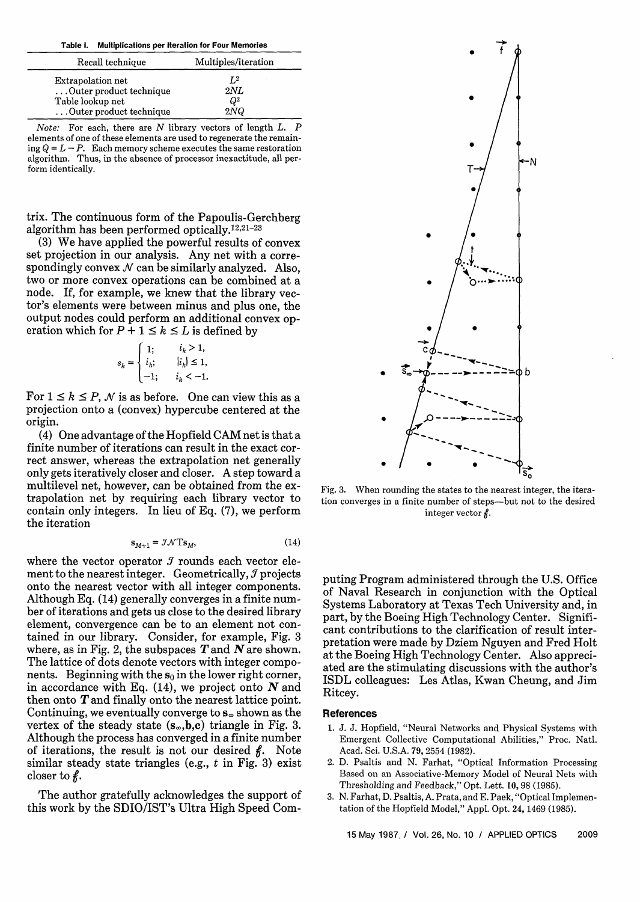| <b>Multiplications per Iteration for Four Memories</b><br>Table I.                          |                              |
|---------------------------------------------------------------------------------------------|------------------------------|
| Recall technique                                                                            | Multiples/iteration          |
| Extrapolation net<br>Outer product technique<br>Table lookup net<br>Outer product technique | $L^2$<br>2NL<br>$Q^2$<br>2NQ |

*Note:* For each, there are N library vectors of length L. P elements of one of these elements are used to regenerate the remaining  $Q = L - P$ . Each memory scheme executes the same restoration algorithm. Thus, in the absence of processor inexactitude, all perform identically.

trix. The continuous form of the Papoulis-Gerchberg algorithm has been performed optically.<sup>12,21-23</sup>

(3) We have applied the powerful results of convex set projection in our analysis. Any net with a correspondingly convex  $\mathcal N$  can be similarly analyzed. Also, two or more convex operations can be combined at a node. If, for example, we knew that the library vector's elements were between minus and plus one, the output nodes could perform an additional convex operation which for  $P + 1 \le k \le L$  is defined by

$$
s_{k} = \begin{cases} 1; & i_{k} > 1, \\ i_{k}; & |i_{k}| \leq 1, \\ -1; & i_{k} < -1. \end{cases}
$$

For  $1 \leq k \leq P$ , N is as before. One can view this as a projection onto a (convex) hypercube centered at the origin.

(4) One advantage of the Hopfield CAM net is that a finite number of iterations can result in the exact correct answer, whereas the extrapolation net generally only gets iteratively closer and closer. A step toward a multilevel net, however, can be obtained from the extrapolation net by requiring each library vector to contain only integers. In lieu of **Eq.** (7), we perform the iteration

$$
\mathbf{s}_{M+1} = \mathcal{J} \mathcal{N} \mathbf{T} \mathbf{s}_M, \tag{14}
$$

where the vector operator **9** rounds each vector element to the nearest integer. Geometrically, *9* projects onto the nearest vector with all integer components. Although **Eq.** (14) generally converges in a finite number of iterations and gets us close to the desired library element, convergence can be to an element not contained in our library. Consider, for example, Fig. 3 where, as in Fig. 2, the subspaces **T** and **N** are shown. The lattice of dots denote vectors with integer components. Beginning with the  $s_0$  in the lower right corner, in accordance with **Eq.** (14), we project onto *N* and then onto **T** and finally onto the nearest lattice point. Continuing, we eventually converge to *s,* shown as the vertex of the steady state  $(s_\infty,b,c)$  triangle in Fig. 3. Although the process has converged in a finite number of iterations, the result is not our desired  $\beta$ . Note similar steady state triangles (e.g., t in Fig. **3)** exist closer to  $\ell$ .

The author gratefully acknowledges the support of this work by the SDIO/IST's Ultra High Speed Com-



Fig. **3.** When rounding the states to the nearest integer, the iteration converges in a finite number of steps-but not to the desired integer vector  $\hat{\beta}$ .

puting Program administered through the U.S. Office of Naval Research in conjunction with the Optical Systems Laboratory at Texas Tech University and, in part, by the Boeing High Technology Center. Significant contributions to the clarification of result interpretation were made by Dziem Nguyen and Fred Holt at the Boeing High Technology Center. Also appreciated are the stimulating discussions with the author's ISDL colleagues: Les Atlas, Kwan Cheung, and Jim Ritcey.

## **References**

- 1. J. J. Hopfield, "Neural Networks and Physical Systems with Emergent Collective Computational Abilities," Proc. Natl. Acad. Sci. U.S.A. 79,2554 (1982).
- 2. D. Psaltis and N. Farhat, "Optical Information Processing Based on an Associative-Memory Model of Neural Nets with Thresholding and Feedback," Opt. Lett. 10,98 (1985).
- **3.** N. Farhat, D. Psaltis, A. Prata, and E. Paek, "Optical Implementation of the Hopfield Model," Appl. Opt. 24,1469 (1985).

15 May 1987.1 Vol. 26, No. 10 / APPLIED OPTICS 2009